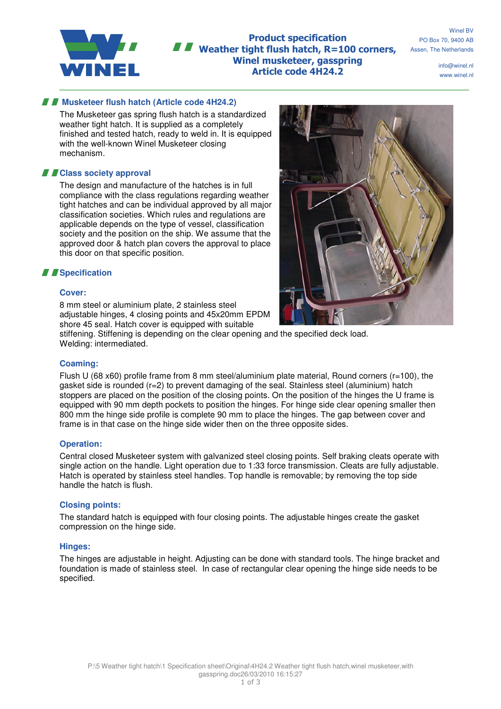

**Product specification** Weather tight flush hatch, R=100 corners, Winel musketeer, gasspring Article code 4H24.2

Winel BV PO Box 70, 9400 AB Assen, The Netherlands

> info@winel.nl www.winel.nl

# **Musketeer flush hatch (Article code 4H24.2)**

The Musketeer gas spring flush hatch is a standardized weather tight hatch. It is supplied as a completely finished and tested hatch, ready to weld in. It is equipped with the well-known Winel Musketeer closing mechanism.

# **Class society approval**

The design and manufacture of the hatches is in full compliance with the class regulations regarding weather tight hatches and can be individual approved by all major classification societies. Which rules and regulations are applicable depends on the type of vessel, classification society and the position on the ship. We assume that the approved door & hatch plan covers the approval to place this door on that specific position.

## *I* Specification

## **Cover:**

8 mm steel or aluminium plate, 2 stainless steel adjustable hinges, 4 closing points and 45x20mm EPDM shore 45 seal. Hatch cover is equipped with suitable



stiffening. Stiffening is depending on the clear opening and the specified deck load. Welding: intermediated.

## **Coaming:**

Flush U (68 x60) profile frame from 8 mm steel/aluminium plate material, Round corners ( $r=100$ ), the gasket side is rounded (r=2) to prevent damaging of the seal. Stainless steel (aluminium) hatch stoppers are placed on the position of the closing points. On the position of the hinges the U frame is equipped with 90 mm depth pockets to position the hinges. For hinge side clear opening smaller then 800 mm the hinge side profile is complete 90 mm to place the hinges. The gap between cover and frame is in that case on the hinge side wider then on the three opposite sides.

#### **Operation:**

Central closed Musketeer system with galvanized steel closing points. Self braking cleats operate with single action on the handle. Light operation due to 1:33 force transmission. Cleats are fully adjustable. Hatch is operated by stainless steel handles. Top handle is removable; by removing the top side handle the hatch is flush.

## **Closing points:**

The standard hatch is equipped with four closing points. The adjustable hinges create the gasket compression on the hinge side.

#### **Hinges:**

The hinges are adjustable in height. Adjusting can be done with standard tools. The hinge bracket and foundation is made of stainless steel. In case of rectangular clear opening the hinge side needs to be specified.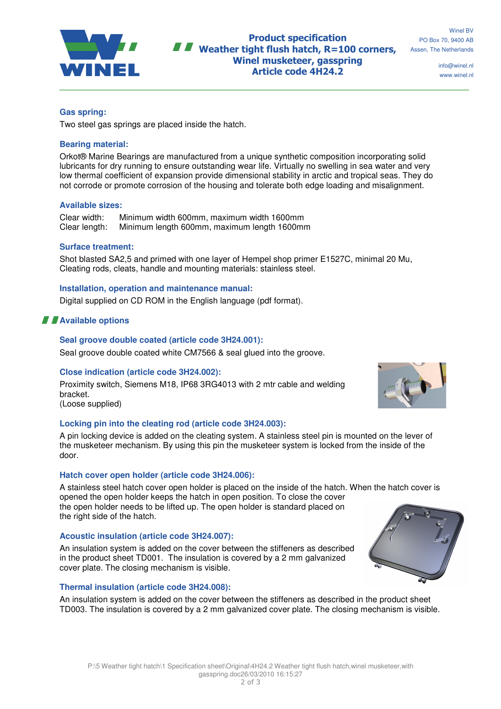

**Product specification** Weather tight flush hatch, R=100 corners, Winel musketeer, gasspring Article code 4H24.2

Winel BV PO Box 70, 9400 AB Assen, The Netherlands

> info@winel.nl www.winel.nl

## **Gas spring:**

Two steel gas springs are placed inside the hatch.

## **Bearing material:**

Orkot® Marine Bearings are manufactured from a unique synthetic composition incorporating solid lubricants for dry running to ensure outstanding wear life. Virtually no swelling in sea water and very low thermal coefficient of expansion provide dimensional stability in arctic and tropical seas. They do not corrode or promote corrosion of the housing and tolerate both edge loading and misalignment.

#### **Available sizes:**

Clear width: Minimum width 600mm, maximum width 1600mm Minimum length 600mm, maximum length 1600mm

## **Surface treatment:**

Shot blasted SA2,5 and primed with one layer of Hempel shop primer E1527C, minimal 20 Mu, Cleating rods, cleats, handle and mounting materials: stainless steel.

## **Installation, operation and maintenance manual:**

Digital supplied on CD ROM in the English language (pdf format).

# **A** Available options

## **Seal groove double coated (article code 3H24.001):**

Seal groove double coated white CM7566 & seal glued into the groove.

## **Close indication (article code 3H24.002):**

Proximity switch, Siemens M18, IP68 3RG4013 with 2 mtr cable and welding bracket.

(Loose supplied)

## **Locking pin into the cleating rod (article code 3H24.003):**

A pin locking device is added on the cleating system. A stainless steel pin is mounted on the lever of the musketeer mechanism. By using this pin the musketeer system is locked from the inside of the door.

## **Hatch cover open holder (article code 3H24.006):**

A stainless steel hatch cover open holder is placed on the inside of the hatch. When the hatch cover is opened the open holder keeps the hatch in open position. To close the cover the open holder needs to be lifted up. The open holder is standard placed on the right side of the hatch.

## **Acoustic insulation (article code 3H24.007):**

An insulation system is added on the cover between the stiffeners as described in the product sheet TD001. The insulation is covered by a 2 mm galvanized cover plate. The closing mechanism is visible.

#### **Thermal insulation (article code 3H24.008):**

An insulation system is added on the cover between the stiffeners as described in the product sheet TD003. The insulation is covered by a 2 mm galvanized cover plate. The closing mechanism is visible.